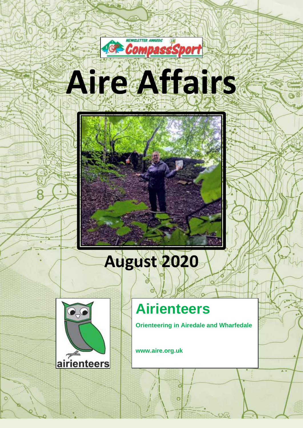



# **August 2020**



## **Airienteers**

 $\overline{O}$ 

**Orienteering in Airedale and Wharfedale**

**www.aire.org.uk**

1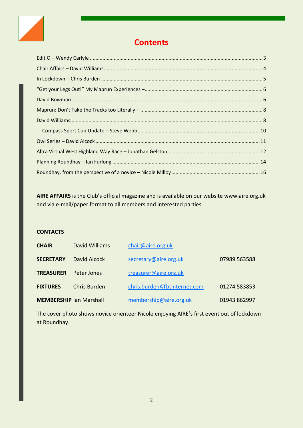

### **Contents**

**AIRE AFFAIRS** is the Club's official magazine and is available on our website www.aire.org.uk and via e-mail/paper format to all members and interested parties.

#### **CONTACTS**

| <b>CHAIR</b>                   | David Williams | chair@aire.org.uk            |              |
|--------------------------------|----------------|------------------------------|--------------|
| <b>SECRETARY</b>               | David Alcock   | secretary@aire.org.uk        | 07989 563588 |
| <b>TREASURER</b>               | Peter Jones    | treasurer@aire.org.uk        |              |
| <b>FIXTURES</b>                | Chris Burden   | chris.burdenATbtinternet.com | 01274 583853 |
| <b>MEMBERSHIP Ian Marshall</b> |                | membership@aire.org.uk       | 01943 862997 |

The cover photo shows novice orienteer Nicole enjoying AIRE's first event out of lockdown at Roundhay.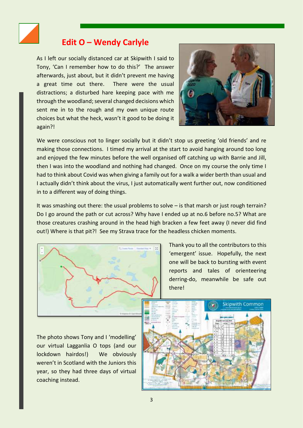

#### **Edit O – Wendy Carlyle**

<span id="page-2-0"></span>As I left our socially distanced car at Skipwith I said to Tony, 'Can I remember how to do this?' The answer afterwards, just about, but it didn't prevent me having a great time out there. There were the usual distractions; a disturbed hare keeping pace with me through the woodland; several changed decisions which sent me in to the rough and my own unique route choices but what the heck, wasn't it good to be doing it again?!



We were conscious not to linger socially but it didn't stop us greeting 'old friends' and re making those connections. I timed my arrival at the start to avoid hanging around too long and enjoyed the few minutes before the well organised off catching up with Barrie and Jill, then I was into the woodland and nothing had changed. Once on my course the only time I had to think about Covid was when giving a family out for a walk a wider berth than usual and I actually didn't think about the virus, I just automatically went further out, now conditioned in to a different way of doing things.

It was smashing out there: the usual problems to solve – is that marsh or just rough terrain? Do I go around the path or cut across? Why have I ended up at no.6 before no.5? What are those creatures crashing around in the head high bracken a few feet away (I never did find out!) Where is that pit?! See my Strava trace for the headless chicken moments.



Thank you to all the contributors to this 'emergent' issue. Hopefully, the next one will be back to bursting with event reports and tales of orienteering derring-do, meanwhile be safe out there!

The photo shows Tony and I 'modelling' our virtual Lagganlia O tops (and our lockdown hairdos!) We obviously weren't in Scotland with the Juniors this year, so they had three days of virtual coaching instead.

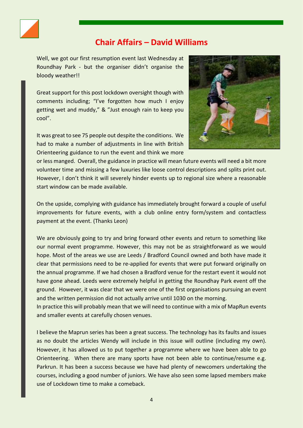

#### <span id="page-3-0"></span>**Chair Affairs – David Williams**

Well, we got our first resumption event last Wednesday at Roundhay Park - but the organiser didn't organise the bloody weather!!

Great support for this post lockdown oversight though with comments including; "I've forgotten how much I enjoy getting wet and muddy," & "Just enough rain to keep you cool".

It was great to see 75 people out despite the conditions. We had to make a number of adjustments in line with British Orienteering guidance to run the event and think we more



or less manged. Overall, the guidance in practice will mean future events will need a bit more volunteer time and missing a few luxuries like loose control descriptions and splits print out. However, I don't think it will severely hinder events up to regional size where a reasonable start window can be made available.

On the upside, complying with guidance has immediately brought forward a couple of useful improvements for future events, with a club online entry form/system and contactless payment at the event. (Thanks Leon)

We are obviously going to try and bring forward other events and return to something like our normal event programme. However, this may not be as straightforward as we would hope. Most of the areas we use are Leeds / Bradford Council owned and both have made it clear that permissions need to be re-applied for events that were put forward originally on the annual programme. If we had chosen a Bradford venue for the restart event it would not have gone ahead. Leeds were extremely helpful in getting the Roundhay Park event off the ground. However, it was clear that we were one of the first organisations pursuing an event and the written permission did not actually arrive until 1030 on the morning.

In practice this will probably mean that we will need to continue with a mix of MapRun events and smaller events at carefully chosen venues.

I believe the Maprun series has been a great success. The technology has its faults and issues as no doubt the articles Wendy will include in this issue will outline (including my own). However, it has allowed us to put together a programme where we have been able to go Orienteering. When there are many sports have not been able to continue/resume e.g. Parkrun. It has been a success because we have had plenty of newcomers undertaking the courses, including a good number of juniors. We have also seen some lapsed members make use of Lockdown time to make a comeback.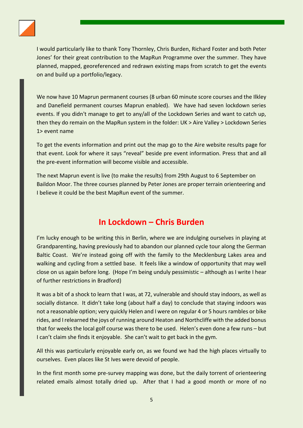

I would particularly like to thank Tony Thornley, Chris Burden, Richard Foster and both Peter Jones' for their great contribution to the MapRun Programme over the summer. They have planned, mapped, georeferenced and redrawn existing maps from scratch to get the events on and build up a portfolio/legacy.

We now have 10 Maprun permanent courses (8 urban 60 minute score courses and the Ilkley and Danefield permanent courses Maprun enabled). We have had seven lockdown series events. If you didn't manage to get to any/all of the Lockdown Series and want to catch up, then they do remain on the MapRun system in the folder: UK > Aire Valley > Lockdown Series 1> event name

To get the events information and print out the map go to the Aire website results page for that event. Look for where it says "reveal" beside pre event information. Press that and all the pre-event information will become visible and accessible.

The next Maprun event is live (to make the results) from 29th August to 6 September on Baildon Moor. The three courses planned by Peter Jones are proper terrain orienteering and I believe it could be the best MapRun event of the summer.

#### **In Lockdown – Chris Burden**

<span id="page-4-0"></span>I'm lucky enough to be writing this in Berlin, where we are indulging ourselves in playing at Grandparenting, having previously had to abandon our planned cycle tour along the German Baltic Coast. We're instead going off with the family to the Mecklenburg Lakes area and walking and cycling from a settled base. It feels like a window of opportunity that may well close on us again before long. (Hope I'm being unduly pessimistic – although as I write I hear of further restrictions in Bradford)

It was a bit of a shock to learn that I was, at 72, vulnerable and should stay indoors, as well as socially distance. It didn't take long (about half a day) to conclude that staying indoors was not a reasonable option; very quickly Helen and I were on regular 4 or 5 hours rambles or bike rides, and Irelearned the joys of running around Heaton and Northcliffe with the added bonus that for weeks the local golf course was there to be used. Helen's even done a few runs – but I can't claim she finds it enjoyable. She can't wait to get back in the gym.

All this was particularly enjoyable early on, as we found we had the high places virtually to ourselves. Even places like St Ives were devoid of people.

In the first month some pre-survey mapping was done, but the daily torrent of orienteering related emails almost totally dried up. After that I had a good month or more of no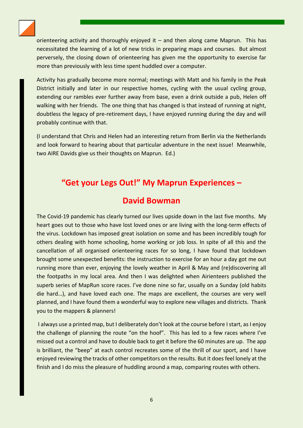

orienteering activity and thoroughly enjoyed it  $-$  and then along came Maprun. This has necessitated the learning of a lot of new tricks in preparing maps and courses. But almost perversely, the closing down of orienteering has given me the opportunity to exercise far more than previously with less time spent huddled over a computer.

Activity has gradually become more normal; meetings with Matt and his family in the Peak District initially and later in our respective homes, cycling with the usual cycling group, extending our rambles ever further away from base, even a drink outside a pub, Helen off walking with her friends. The one thing that has changed is that instead of running at night, doubtless the legacy of pre-retirement days, I have enjoyed running during the day and will probably continue with that.

(I understand that Chris and Helen had an interesting return from Berlin via the Netherlands and look forward to hearing about that particular adventure in the next issue! Meanwhile, two AIRE Davids give us their thoughts on Maprun. Ed.)

#### <span id="page-5-0"></span>**"Get your Legs Out!" My Maprun Experiences –**

#### **David Bowman**

<span id="page-5-1"></span>The Covid-19 pandemic has clearly turned our lives upside down in the last five months. My heart goes out to those who have lost loved ones or are living with the long-term effects of the virus. Lockdown has imposed great isolation on some and has been incredibly tough for others dealing with home schooling, home working or job loss. In spite of all this and the cancellation of all organised orienteering races for so long, I have found that lockdown brought some unexpected benefits: the instruction to exercise for an hour a day got me out running more than ever, enjoying the lovely weather in April & May and (re)discovering all the footpaths in my local area. And then I was delighted when Airienteers published the superb series of MapRun score races. I've done nine so far, usually on a Sunday (old habits die hard…), and have loved each one. The maps are excellent, the courses are very well planned, and I have found them a wonderful way to explore new villages and districts. Thank you to the mappers & planners!

I always use a printed map, but I deliberately don't look at the course before I start, as I enjoy the challenge of planning the route "on the hoof". This has led to a few races where I've missed out a control and have to double back to get it before the 60 minutes are up. The app is brilliant, the "beep" at each control recreates some of the thrill of our sport, and I have enjoyed reviewing the tracks of other competitors on the results. But it does feel lonely at the finish and I do miss the pleasure of huddling around a map, comparing routes with others.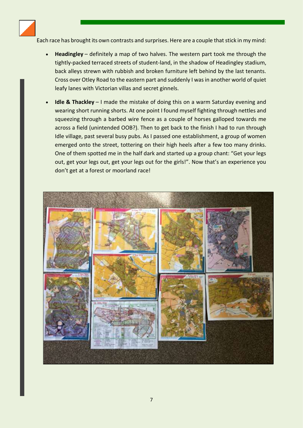

Each race has brought its own contrasts and surprises. Here are a couple that stick in my mind:

- **Headingley** definitely a map of two halves. The western part took me through the tightly-packed terraced streets of student-land, in the shadow of Headingley stadium, back alleys strewn with rubbish and broken furniture left behind by the last tenants. Cross over Otley Road to the eastern part and suddenly I was in another world of quiet leafy lanes with Victorian villas and secret ginnels.
- **Idle & Thackley** I made the mistake of doing this on a warm Saturday evening and wearing short running shorts. At one point I found myself fighting through nettles and squeezing through a barbed wire fence as a couple of horses galloped towards me across a field (unintended OOB?). Then to get back to the finish I had to run through Idle village, past several busy pubs. As I passed one establishment, a group of women emerged onto the street, tottering on their high heels after a few too many drinks. One of them spotted me in the half dark and started up a group chant: "Get your legs out, get your legs out, get your legs out for the girls!". Now that's an experience you don't get at a forest or moorland race!

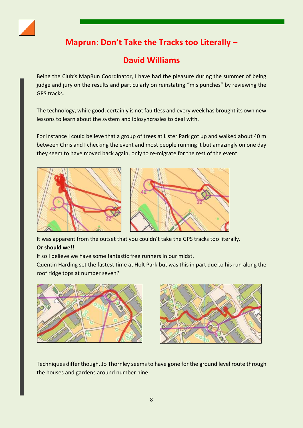<span id="page-7-0"></span>

## **Maprun: Don't Take the Tracks too Literally –**

## **David Williams**

<span id="page-7-1"></span>Being the Club's MapRun Coordinator, I have had the pleasure during the summer of being judge and jury on the results and particularly on reinstating "mis punches" by reviewing the GPS tracks.

The technology, while good, certainly is not faultless and every week has brought its own new lessons to learn about the system and idiosyncrasies to deal with.

For instance I could believe that a group of trees at Lister Park got up and walked about 40 m between Chris and I checking the event and most people running it but amazingly on one day they seem to have moved back again, only to re-migrate for the rest of the event.





It was apparent from the outset that you couldn't take the GPS tracks too literally. **Or should we!!**

If so I believe we have some fantastic free runners in our midst.

Quentin Harding set the fastest time at Holt Park but was this in part due to his run along the roof ridge tops at number seven?





Techniques differ though, Jo Thornley seems to have gone for the ground level route through the houses and gardens around number nine.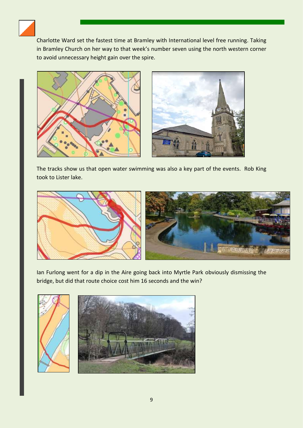

Charlotte Ward set the fastest time at Bramley with International level free running. Taking in Bramley Church on her way to that week's number seven using the north western corner to avoid unnecessary height gain over the spire.





The tracks show us that open water swimming was also a key part of the events. Rob King took to Lister lake.



Ian Furlong went for a dip in the Aire going back into Myrtle Park obviously dismissing the bridge, but did that route choice cost him 16 seconds and the win?

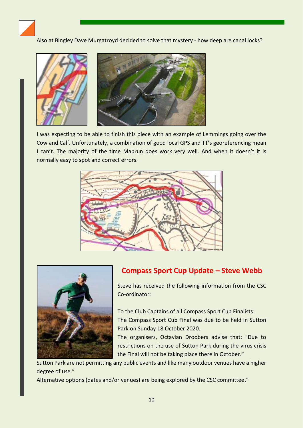

Also at Bingley Dave Murgatroyd decided to solve that mystery - how deep are canal locks?



I was expecting to be able to finish this piece with an example of Lemmings going over the Cow and Calf. Unfortunately, a combination of good local GPS and TT's georeferencing mean I can't. The majority of the time Maprun does work very well. And when it doesn't it is normally easy to spot and correct errors.





#### <span id="page-9-0"></span>**Compass Sport Cup Update – Steve Webb**

Steve has received the following information from the CSC Co-ordinator:

To the Club Captains of all Compass Sport Cup Finalists: The Compass Sport Cup Final was due to be held in Sutton Park on Sunday 18 October 2020.

The organisers, Octavian Droobers advise that: "Due to restrictions on the use of Sutton Park during the virus crisis the Final will not be taking place there in October."

Sutton Park are not permitting any public events and like many outdoor venues have a higher degree of use."

Alternative options (dates and/or venues) are being explored by the CSC committee."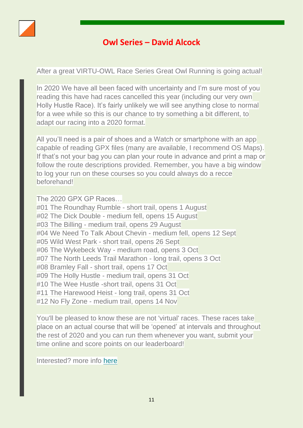<span id="page-10-0"></span>

#### **Owl Series – David Alcock**

After a great VIRTU-OWL Race Series Great Owl Running is going actual!

In 2020 We have all been faced with uncertainty and I'm sure most of you reading this have had races cancelled this year (including our very own Holly Hustle Race). It's fairly unlikely we will see anything close to normal for a wee while so this is our chance to try something a bit different, to adapt our racing into a 2020 format.

All you'll need is a pair of shoes and a Watch or smartphone with an app capable of reading GPX files (many are available, I recommend OS Maps). If that's not your bag you can plan your route in advance and print a map or follow the route descriptions provided. Remember, you have a big window to log your run on these courses so you could always do a recce beforehand!

The 2020 GPX GP Races…

#01 The Roundhay Rumble - short trail, opens 1 August #02 The Dick Double - medium fell, opens 15 August #03 The Billing - medium trail, opens 29 August #04 We Need To Talk About Chevin - medium fell, opens 12 Sept #05 Wild West Park - short trail, opens 26 Sept #06 The Wykebeck Way - medium road, opens 3 Oct #07 The North Leeds Trail Marathon - long trail, opens 3 Oct #08 Bramley Fall - short trail, opens 17 Oct #09 The Holly Hustle - medium trail, opens 31 Oct #10 The Wee Hustle -short trail, opens 31 Oct #11 The Harewood Heist - long trail, opens 31 Oct #12 No Fly Zone - medium trail, opens 14 Nov

You'll be pleased to know these are not 'virtual' races. These races take place on an actual course that will be 'opened' at intervals and throughout the rest of 2020 and you can run them whenever you want, submit your time online and score points on our leaderboard!

Interested? more info [here](https://nam04.safelinks.protection.outlook.com/?url=https%3A%2F%2Fgreatowl.us15.list-manage.com%2Ftrack%2Fclick%3Fu%3Db0de03d6bdb25a7e4348a04e5%26id%3D8233743c1c%26e%3D3d53c17959&data=02%7C01%7C%7Cfd677b6ad44445add0c708d82fa3a5d9%7C84df9e7fe9f640afb435aaaaaaaaaaaa%7C1%7C0%7C637311727193002376&sdata=TDZYp9aYmhrkiU2sIiQuIU1ThAESE%2FUbLJPaqaxPX4k%3D&reserved=0)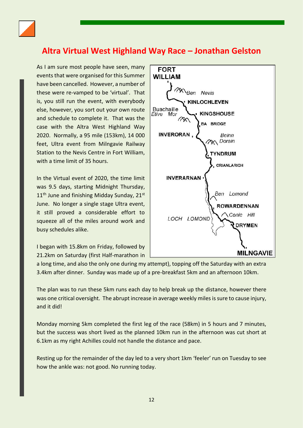

### <span id="page-11-0"></span>**Altra Virtual West Highland Way Race – Jonathan Gelston**

As I am sure most people have seen, many events that were organised for this Summer have been cancelled. However, a number of these were re-vamped to be 'virtual'. That is, you still run the event, with everybody else, however, you sort out your own route and schedule to complete it. That was the case with the Altra West Highland Way 2020. Normally, a 95 mile (153km), 14 000 feet, Ultra event from Milngavie Railway Station to the Nevis Centre in Fort William, with a time limit of 35 hours.

In the Virtual event of 2020, the time limit was 9.5 days, starting Midnight Thursday, 11<sup>th</sup> June and finishing Midday Sunday, 21<sup>st</sup> June. No longer a single stage Ultra event, it still proved a considerable effort to squeeze all of the miles around work and busy schedules alike.

I began with 15.8km on Friday, followed by 21.2km on Saturday (first Half-marathon in



a long time, and also the only one during my attempt), topping off the Saturday with an extra 3.4km after dinner. Sunday was made up of a pre-breakfast 5km and an afternoon 10km.

The plan was to run these 5km runs each day to help break up the distance, however there was one critical oversight. The abrupt increase in average weekly miles is sure to cause injury, and it did!

Monday morning 5km completed the first leg of the race (58km) in 5 hours and 7 minutes, but the success was short lived as the planned 10km run in the afternoon was cut short at 6.1km as my right Achilles could not handle the distance and pace.

Resting up for the remainder of the day led to a very short 1km 'feeler' run on Tuesday to see how the ankle was: not good. No running today.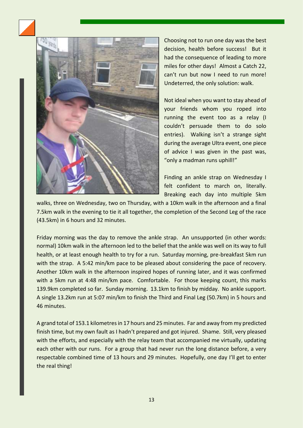



Choosing not to run one day was the best decision, health before success! But it had the consequence of leading to more miles for other days! Almost a Catch 22, can't run but now I need to run more! Undeterred, the only solution: walk.

Not ideal when you want to stay ahead of your friends whom you roped into running the event too as a relay (I couldn't persuade them to do solo entries). Walking isn't a strange sight during the average Ultra event, one piece of advice I was given in the past was, "only a madman runs uphill!"

Finding an ankle strap on Wednesday I felt confident to march on, literally. Breaking each day into multiple 5km

walks, three on Wednesday, two on Thursday, with a 10km walk in the afternoon and a final 7.5km walk in the evening to tie it all together, the completion of the Second Leg of the race (43.5km) in 6 hours and 32 minutes.

Friday morning was the day to remove the ankle strap. An unsupported (in other words: normal) 10km walk in the afternoon led to the belief that the ankle was well on its way to full health, or at least enough health to try for a run. Saturday morning, pre-breakfast 5km run with the strap. A 5:42 min/km pace to be pleased about considering the pace of recovery. Another 10km walk in the afternoon inspired hopes of running later, and it was confirmed with a 5km run at 4:48 min/km pace. Comfortable. For those keeping count, this marks 139.9km completed so far. Sunday morning. 13.1km to finish by midday. No ankle support. A single 13.2km run at 5:07 min/km to finish the Third and Final Leg (50.7km) in 5 hours and 46 minutes.

A grand total of 153.1 kilometres in 17 hours and 25 minutes. Far and away from my predicted finish time, but my own fault as I hadn't prepared and got injured. Shame. Still, very pleased with the efforts, and especially with the relay team that accompanied me virtually, updating each other with our runs. For a group that had never run the long distance before, a very respectable combined time of 13 hours and 29 minutes. Hopefully, one day I'll get to enter the real thing!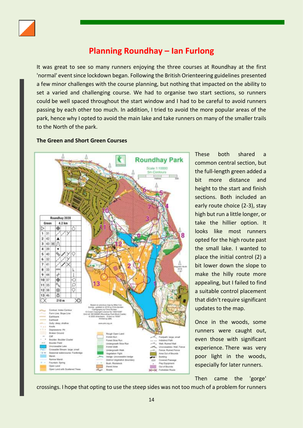

### **Planning Roundhay – Ian Furlong**

<span id="page-13-0"></span>It was great to see so many runners enjoying the three courses at Roundhay at the first 'normal' event since lockdown began. Following the British Orienteering guidelines presented a few minor challenges with the course planning, but nothing that impacted on the ability to set a varied and challenging course. We had to organise two start sections, so runners could be well spaced throughout the start window and I had to be careful to avoid runners passing by each other too much. In addition, I tried to avoid the more popular areas of the park, hence why I opted to avoid the main lake and take runners on many of the smaller trails to the North of the park.

#### **The Green and Short Green Courses**



These both shared a common central section, but the full-length green added a bit more distance and height to the start and finish sections. Both included an early route choice (2-3), stay high but run a little longer, or take the hillier option. It looks like most runners opted for the high route past the small lake. I wanted to place the initial control (2) a bit lower down the slope to make the hilly route more appealing, but I failed to find a suitable control placement that didn't require significant updates to the map.

Once in the woods, some runners were caught out, even those with significant experience. There was very poor light in the woods, especially for later runners.

Then came the 'gorge'

crossings. I hope that opting to use the steep sides was not too much of a problem for runners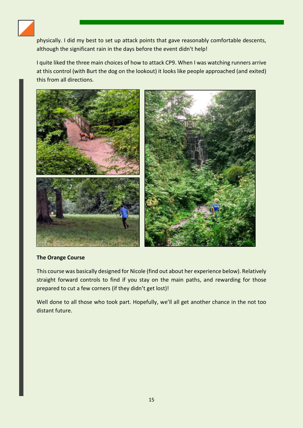

physically. I did my best to set up attack points that gave reasonably comfortable descents, although the significant rain in the days before the event didn't help!

I quite liked the three main choices of how to attack CP9. When I was watching runners arrive at this control (with Burt the dog on the lookout) it looks like people approached (and exited) this from all directions.



#### **The Orange Course**

This course was basically designed for Nicole (find out about her experience below). Relatively straight forward controls to find if you stay on the main paths, and rewarding for those prepared to cut a few corners (if they didn't get lost)!

Well done to all those who took part. Hopefully, we'll all get another chance in the not too distant future.